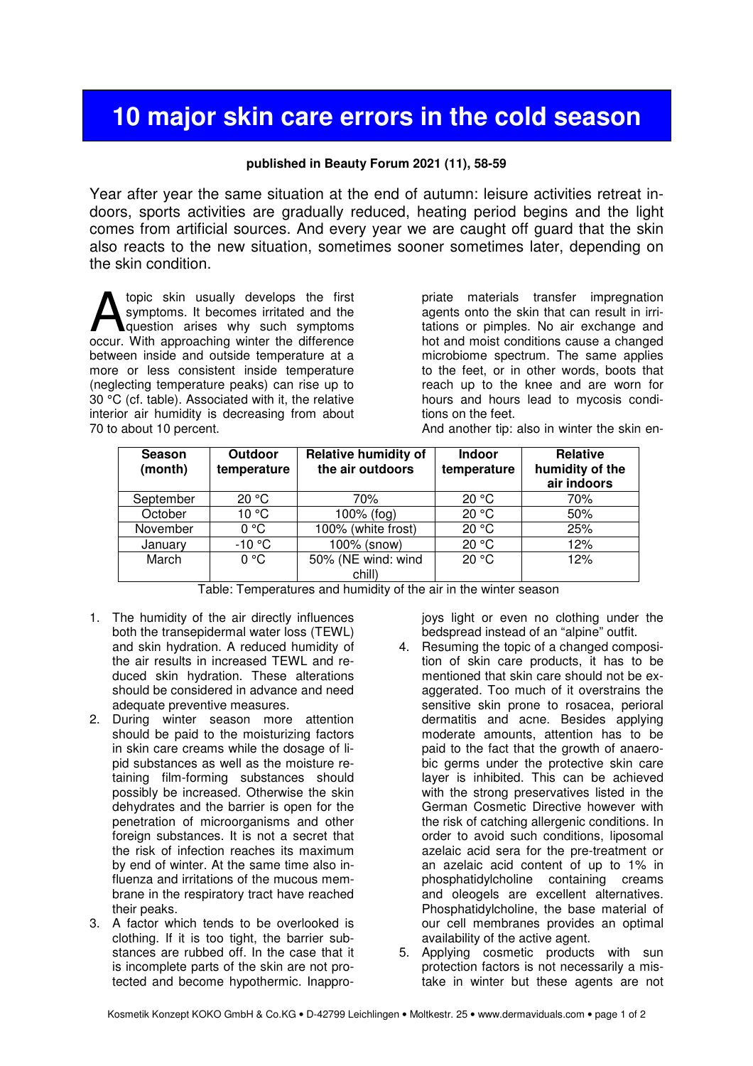## **10 major skin care errors in the cold season**

## **published in Beauty Forum 2021 (11), 58-59**

Year after year the same situation at the end of autumn: leisure activities retreat indoors, sports activities are gradually reduced, heating period begins and the light comes from artificial sources. And every year we are caught off guard that the skin also reacts to the new situation, sometimes sooner sometimes later, depending on the skin condition.

topic skin usually develops the first symptoms. It becomes irritated and the question arises why such symptoms A topic skin usually develops the first symptoms. It becomes irritated and the question arises why such symptoms occur. With approaching winter the difference between inside and outside temperature at a more or less consistent inside temperature (neglecting temperature peaks) can rise up to 30 °C (cf. table). Associated with it, the relative interior air humidity is decreasing from about 70 to about 10 percent.

priate materials transfer impregnation agents onto the skin that can result in irritations or pimples. No air exchange and hot and moist conditions cause a changed microbiome spectrum. The same applies to the feet, or in other words, boots that reach up to the knee and are worn for hours and hours lead to mycosis conditions on the feet.

And another tip: also in winter the skin en-

| <b>Season</b><br>(month) | Outdoor<br>temperature | <b>Relative humidity of</b><br>the air outdoors | <b>Indoor</b><br>temperature | <b>Relative</b><br>humidity of the<br>air indoors |
|--------------------------|------------------------|-------------------------------------------------|------------------------------|---------------------------------------------------|
| September                | 20 °C                  | 70%                                             | 20 °C                        | 70%                                               |
| October                  | 10 °C                  | 100% (fog)                                      | 20 °C                        | 50%                                               |
| November                 | 0 °C                   | 100% (white frost)                              | 20 °C                        | 25%                                               |
| January                  | $-10 °C$               | 100% (snow)                                     | 20 °C                        | 12%                                               |
| March                    | $0^{\circ}$ C          | 50% (NE wind: wind                              | 20 °C                        | 12%                                               |
|                          |                        | chill)                                          |                              |                                                   |

Table: Temperatures and humidity of the air in the winter season

- 1. The humidity of the air directly influences both the transepidermal water loss (TEWL) and skin hydration. A reduced humidity of the air results in increased TEWL and reduced skin hydration. These alterations should be considered in advance and need adequate preventive measures.
- 2. During winter season more attention should be paid to the moisturizing factors in skin care creams while the dosage of lipid substances as well as the moisture retaining film-forming substances should possibly be increased. Otherwise the skin dehydrates and the barrier is open for the penetration of microorganisms and other foreign substances. It is not a secret that the risk of infection reaches its maximum by end of winter. At the same time also influenza and irritations of the mucous membrane in the respiratory tract have reached their peaks.
- 3. A factor which tends to be overlooked is clothing. If it is too tight, the barrier substances are rubbed off. In the case that it is incomplete parts of the skin are not protected and become hypothermic. Inappro-

joys light or even no clothing under the bedspread instead of an "alpine" outfit.

- 4. Resuming the topic of a changed composition of skin care products, it has to be mentioned that skin care should not be exaggerated. Too much of it overstrains the sensitive skin prone to rosacea, perioral dermatitis and acne. Besides applying moderate amounts, attention has to be paid to the fact that the growth of anaerobic germs under the protective skin care layer is inhibited. This can be achieved with the strong preservatives listed in the German Cosmetic Directive however with the risk of catching allergenic conditions. In order to avoid such conditions, liposomal azelaic acid sera for the pre-treatment or an azelaic acid content of up to 1% in phosphatidylcholine containing creams and oleogels are excellent alternatives. Phosphatidylcholine, the base material of our cell membranes provides an optimal availability of the active agent.
- 5. Applying cosmetic products with sun protection factors is not necessarily a mistake in winter but these agents are not